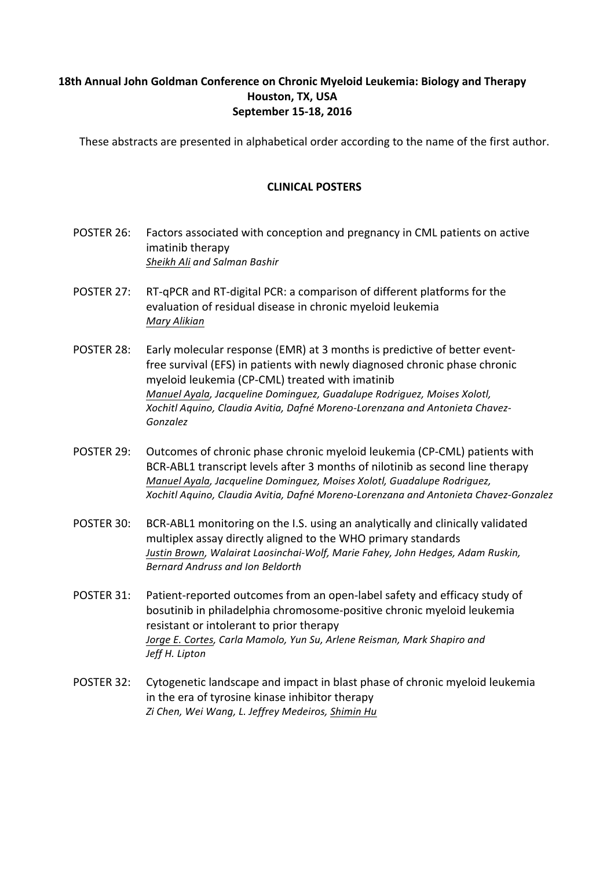## **18th Annual John Goldman Conference on Chronic Myeloid Leukemia: Biology and Therapy Houston, TX, USA September 15-18, 2016**

These abstracts are presented in alphabetical order according to the name of the first author.

## **CLINICAL POSTERS**

- POSTER 26: Factors associated with conception and pregnancy in CML patients on active imatinib therapy *Sheikh Ali and Salman Bashir*
- POSTER 27: RT-qPCR and RT-digital PCR: a comparison of different platforms for the evaluation of residual disease in chronic myeloid leukemia *Mary Alikian*
- POSTER 28: Early molecular response (EMR) at 3 months is predictive of better eventfree survival (EFS) in patients with newly diagnosed chronic phase chronic myeloid leukemia (CP-CML) treated with imatinib *Manuel Ayala, Jacqueline Dominguez, Guadalupe Rodriguez, Moises Xolotl, Xochitl Aquino, Claudia Avitia, Dafné Moreno-Lorenzana and Antonieta Chavez-Gonzalez*
- POSTER 29: Outcomes of chronic phase chronic myeloid leukemia (CP-CML) patients with BCR-ABL1 transcript levels after 3 months of nilotinib as second line therapy *Manuel Ayala, Jacqueline Dominguez, Moises Xolotl, Guadalupe Rodriguez, Xochitl Aquino, Claudia Avitia, Dafné Moreno-Lorenzana and Antonieta Chavez-Gonzalez*
- POSTER 30: BCR-ABL1 monitoring on the I.S. using an analytically and clinically validated multiplex assay directly aligned to the WHO primary standards Justin Brown, Walairat Laosinchai-Wolf, Marie Fahey, John Hedges, Adam Ruskin, *Bernard Andruss and Ion Beldorth*
- POSTER 31: Patient-reported outcomes from an open-label safety and efficacy study of bosutinib in philadelphia chromosome-positive chronic myeloid leukemia resistant or intolerant to prior therapy *Jorge E. Cortes, Carla Mamolo, Yun Su, Arlene Reisman, Mark Shapiro and Jeff H. Lipton*
- POSTER 32: Cytogenetic landscape and impact in blast phase of chronic myeloid leukemia in the era of tyrosine kinase inhibitor therapy *Zi Chen, Wei Wang, L. Jeffrey Medeiros, Shimin Hu*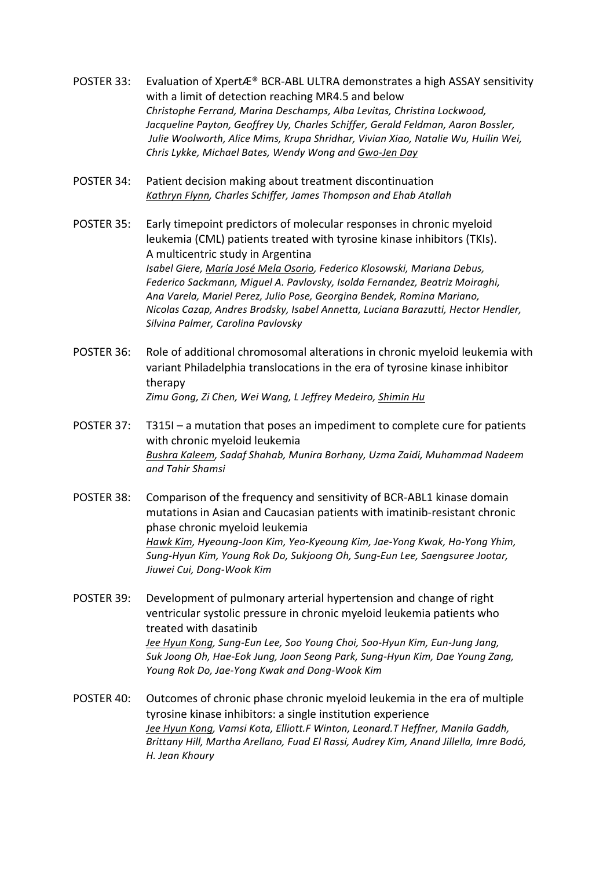- POSTER 33: Evaluation of Xpert $\mathcal{A}^{\otimes}$  BCR-ABL ULTRA demonstrates a high ASSAY sensitivity with a limit of detection reaching MR4.5 and below *Christophe Ferrand, Marina Deschamps, Alba Levitas, Christina Lockwood,*  Jacqueline Payton, Geoffrey Uy, Charles Schiffer, Gerald Feldman, Aaron Bossler, *Julie Woolworth, Alice Mims, Krupa Shridhar, Vivian Xiao, Natalie Wu, Huilin Wei, Chris Lykke, Michael Bates, Wendy Wong and Gwo-Jen Day*
- POSTER 34: Patient decision making about treatment discontinuation Kathryn Flynn, Charles Schiffer, James Thompson and Ehab Atallah
- POSTER 35: Early timepoint predictors of molecular responses in chronic myeloid leukemia (CML) patients treated with tyrosine kinase inhibitors (TKIs). A multicentric study in Argentina *Isabel Giere, María José Mela Osorio, Federico Klosowski, Mariana Debus,*  Federico Sackmann, Miguel A. Pavlovsky, Isolda Fernandez, Beatriz Moiraghi, *Ana Varela, Mariel Perez, Julio Pose, Georgina Bendek, Romina Mariano, Nicolas Cazap, Andres Brodsky, Isabel Annetta, Luciana Barazutti, Hector Hendler, Silvina Palmer, Carolina Pavlovsky*
- POSTER 36: Role of additional chromosomal alterations in chronic myeloid leukemia with variant Philadelphia translocations in the era of tyrosine kinase inhibitor therapy *Zimu Gong, Zi Chen, Wei Wang, L Jeffrey Medeiro, Shimin Hu*
- POSTER  $37:$  T315I a mutation that poses an impediment to complete cure for patients with chronic myeloid leukemia *Bushra Kaleem, Sadaf Shahab, Munira Borhany, Uzma Zaidi, Muhammad Nadeem and Tahir Shamsi*
- POSTER 38: Comparison of the frequency and sensitivity of BCR-ABL1 kinase domain mutations in Asian and Caucasian patients with imatinib-resistant chronic phase chronic myeloid leukemia Hawk Kim, Hyeoung-Joon Kim, Yeo-Kyeoung Kim, Jae-Yong Kwak, Ho-Yong Yhim, Sung-Hyun Kim, Young Rok Do, Sukjoong Oh, Sung-Eun Lee, Saengsuree Jootar, *Jiuwei Cui, Dong-Wook Kim*
- POSTER 39: Development of pulmonary arterial hypertension and change of right ventricular systolic pressure in chronic myeloid leukemia patients who treated with dasatinib Jee Hyun Kong, Sung-Eun Lee, Soo Young Choi, Soo-Hyun Kim, Eun-Jung Jang, Suk Joong Oh, Hae-Eok Jung, Joon Seong Park, Sung-Hyun Kim, Dae Young Zang, *Young Rok Do, Jae-Yong Kwak and Dong-Wook Kim*
- POSTER 40: Outcomes of chronic phase chronic myeloid leukemia in the era of multiple tyrosine kinase inhibitors: a single institution experience Jee Hyun Kong, Vamsi Kota, Elliott.F Winton, Leonard.T Heffner, Manila Gaddh, Brittany Hill, Martha Arellano, Fuad El Rassi, Audrey Kim, Anand Jillella, Imre Bodó, *H. Jean Khoury*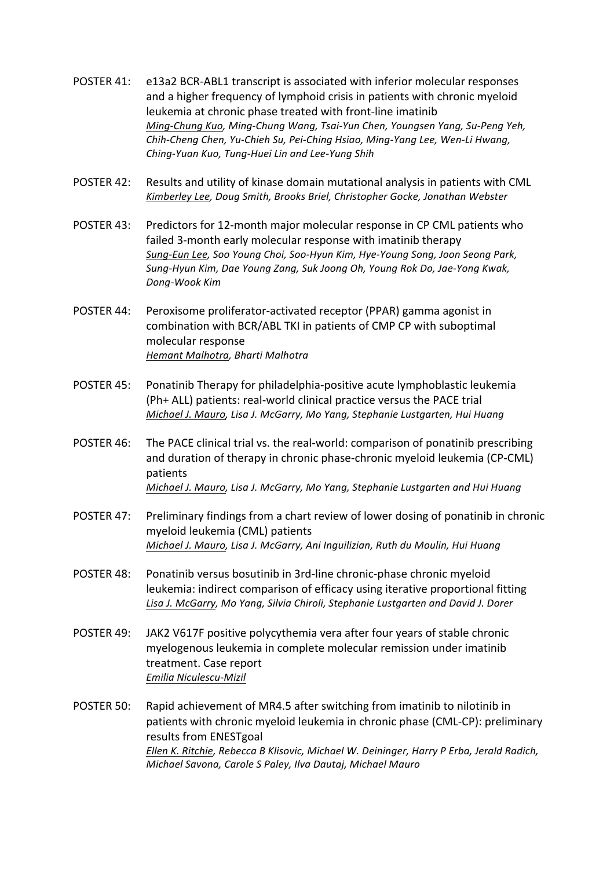- POSTER 41: e13a2 BCR-ABL1 transcript is associated with inferior molecular responses and a higher frequency of lymphoid crisis in patients with chronic myeloid leukemia at chronic phase treated with front-line imatinib *Ming-Chung Kuo, Ming-Chung Wang, Tsai-Yun Chen, Youngsen Yang, Su-Peng Yeh, Chih-Cheng Chen, Yu-Chieh Su, Pei-Ching Hsiao, Ming-Yang Lee, Wen-Li Hwang, Ching-Yuan Kuo, Tung-Huei Lin and Lee-Yung Shih*
- POSTER 42: Results and utility of kinase domain mutational analysis in patients with CML *Kimberley Lee, Doug Smith, Brooks Briel, Christopher Gocke, Jonathan Webster*
- POSTER 43: Predictors for 12-month major molecular response in CP CML patients who failed 3-month early molecular response with imatinib therapy Sung-Eun Lee, Soo Young Choi, Soo-Hyun Kim, Hye-Young Song, Joon Seong Park, Sung-Hyun Kim, Dae Young Zang, Suk Joong Oh, Young Rok Do, Jae-Yong Kwak, *Dong-Wook Kim*
- POSTER 44: Peroxisome proliferator-activated receptor (PPAR) gamma agonist in combination with BCR/ABL TKI in patients of CMP CP with suboptimal molecular response *Hemant Malhotra, Bharti Malhotra*
- POSTER 45: Ponatinib Therapy for philadelphia-positive acute lymphoblastic leukemia (Ph+ ALL) patients: real-world clinical practice versus the PACE trial *Michael J. Mauro, Lisa J. McGarry, Mo Yang, Stephanie Lustgarten, Hui Huang*
- POSTER 46: The PACE clinical trial vs. the real-world: comparison of ponatinib prescribing and duration of therapy in chronic phase-chronic myeloid leukemia (CP-CML) patients *Michael J. Mauro, Lisa J. McGarry, Mo Yang, Stephanie Lustgarten and Hui Huang*
- POSTER 47: Preliminary findings from a chart review of lower dosing of ponatinib in chronic myeloid leukemia (CML) patients *Michael J. Mauro, Lisa J. McGarry, Ani Inguilizian, Ruth du Moulin, Hui Huana*
- POSTER 48: Ponatinib versus bosutinib in 3rd-line chronic-phase chronic myeloid leukemia: indirect comparison of efficacy using iterative proportional fitting *Lisa J. McGarry, Mo Yang, Silvia Chiroli, Stephanie Lustgarten and David J. Dorer*
- POSTER 49: JAK2 V617F positive polycythemia vera after four years of stable chronic myelogenous leukemia in complete molecular remission under imatinib treatment. Case report *Emilia Niculescu-Mizil*
- POSTER 50: Rapid achievement of MR4.5 after switching from imatinib to nilotinib in patients with chronic myeloid leukemia in chronic phase (CML-CP): preliminary results from ENESTgoal *Ellen K. Ritchie, Rebecca B Klisovic, Michael W. Deininger, Harry P Erba, Jerald Radich, Michael Savona, Carole S Paley, Ilva Dautaj, Michael Mauro*